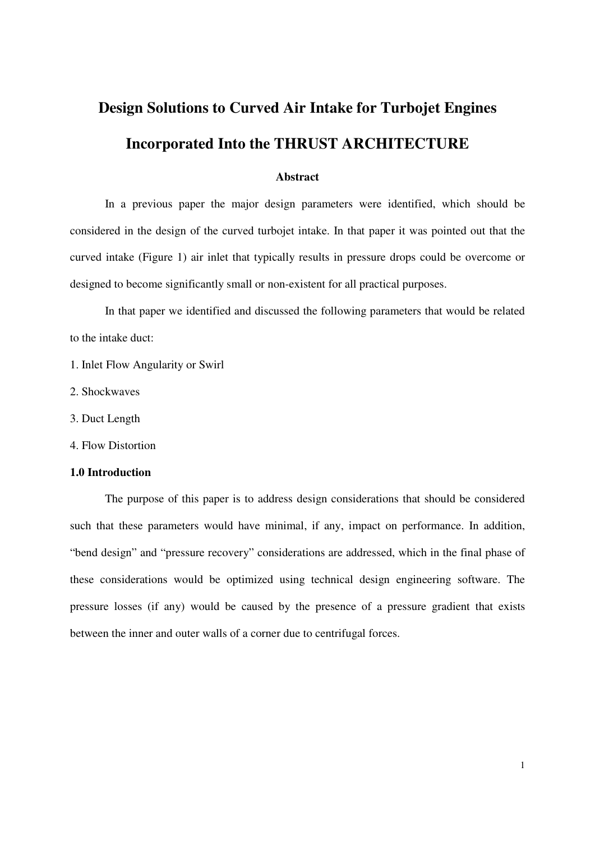# **Design Solutions to Curved Air Intake for Turbojet Engines Incorporated Into the THRUST ARCHITECTURE**

## **Abstract**

 In a previous paper the major design parameters were identified, which should be considered in the design of the curved turbojet intake. In that paper it was pointed out that the curved intake (Figure 1) air inlet that typically results in pressure drops could be overcome or designed to become significantly small or non-existent for all practical purposes.

 In that paper we identified and discussed the following parameters that would be related to the intake duct:

- 1. Inlet Flow Angularity or Swirl
- 2. Shockwaves
- 3. Duct Length
- 4. Flow Distortion

# **1.0 Introduction**

 The purpose of this paper is to address design considerations that should be considered such that these parameters would have minimal, if any, impact on performance. In addition, "bend design" and "pressure recovery" considerations are addressed, which in the final phase of these considerations would be optimized using technical design engineering software. The pressure losses (if any) would be caused by the presence of a pressure gradient that exists between the inner and outer walls of a corner due to centrifugal forces.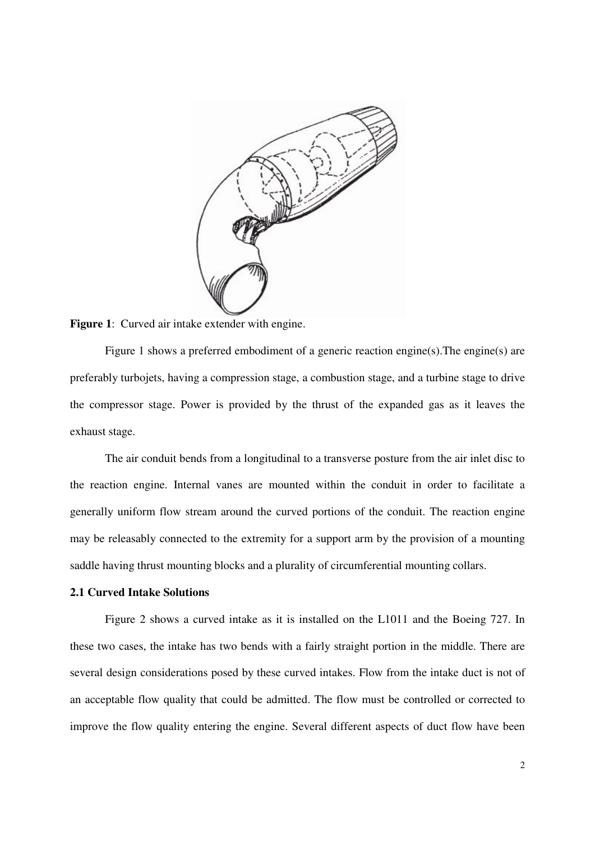

**Figure 1:** Curved air intake extender with engine.

 Figure 1 shows a preferred embodiment of a generic reaction engine(s).The engine(s) are preferably turbojets, having a compression stage, a combustion stage, and a turbine stage to drive the compressor stage. Power is provided by the thrust of the expanded gas as it leaves the exhaust stage.

 The air conduit bends from a longitudinal to a transverse posture from the air inlet disc to the reaction engine. Internal vanes are mounted within the conduit in order to facilitate a generally uniform flow stream around the curved portions of the conduit. The reaction engine may be releasably connected to the extremity for a support arm by the provision of a mounting saddle having thrust mounting blocks and a plurality of circumferential mounting collars.

## **2.1 Curved Intake Solutions**

 Figure 2 shows a curved intake as it is installed on the L1011 and the Boeing 727. In these two cases, the intake has two bends with a fairly straight portion in the middle. There are several design considerations posed by these curved intakes. Flow from the intake duct is not of an acceptable flow quality that could be admitted. The flow must be controlled or corrected to improve the flow quality entering the engine. Several different aspects of duct flow have been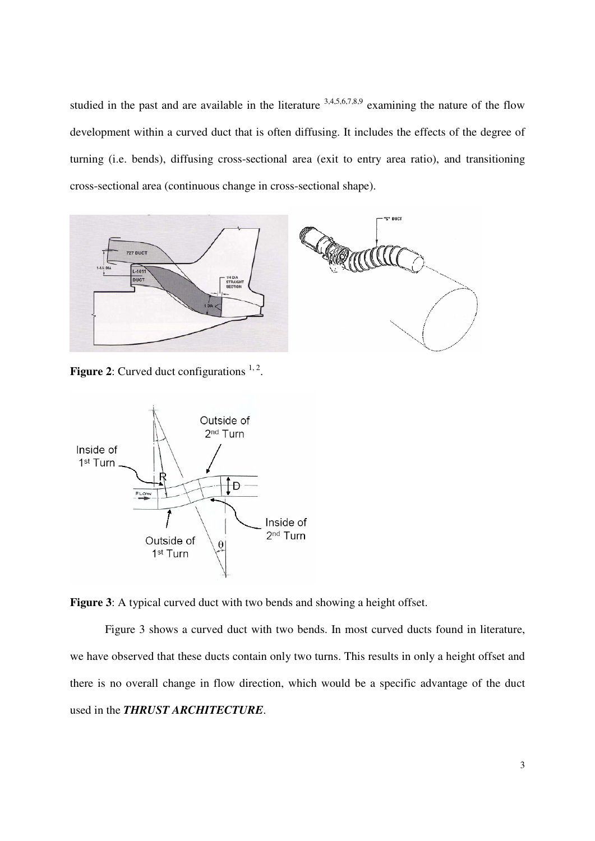studied in the past and are available in the literature  $3,4,5,6,7,8,9$  examining the nature of the flow development within a curved duct that is often diffusing. It includes the effects of the degree of turning (i.e. bends), diffusing cross-sectional area (exit to entry area ratio), and transitioning cross-sectional area (continuous change in cross-sectional shape).



**Figure 2:** Curved duct configurations  $1, 2$ .





 Figure 3 shows a curved duct with two bends. In most curved ducts found in literature, we have observed that these ducts contain only two turns. This results in only a height offset and there is no overall change in flow direction, which would be a specific advantage of the duct used in the *THRUST ARCHITECTURE*.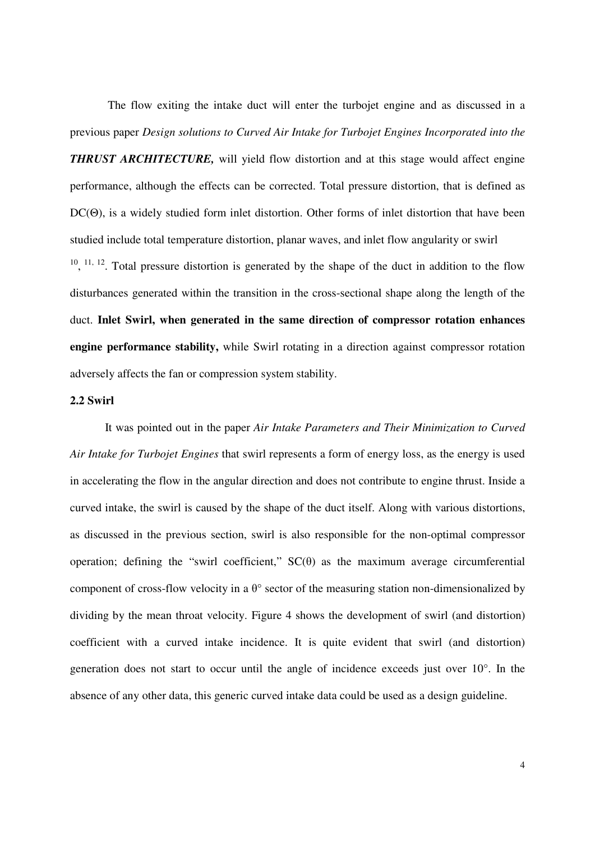The flow exiting the intake duct will enter the turbojet engine and as discussed in a previous paper *Design solutions to Curved Air Intake for Turbojet Engines Incorporated into the THRUST ARCHITECTURE*, will yield flow distortion and at this stage would affect engine performance, although the effects can be corrected. Total pressure distortion, that is defined as DC(Θ), is a widely studied form inlet distortion. Other forms of inlet distortion that have been studied include total temperature distortion, planar waves, and inlet flow angularity or swirl  $10, 11, 12$ . Total pressure distortion is generated by the shape of the duct in addition to the flow disturbances generated within the transition in the cross-sectional shape along the length of the duct. **Inlet Swirl, when generated in the same direction of compressor rotation enhances engine performance stability,** while Swirl rotating in a direction against compressor rotation adversely affects the fan or compression system stability.

# **2.2 Swirl**

 It was pointed out in the paper *Air Intake Parameters and Their Minimization to Curved Air Intake for Turbojet Engines* that swirl represents a form of energy loss, as the energy is used in accelerating the flow in the angular direction and does not contribute to engine thrust. Inside a curved intake, the swirl is caused by the shape of the duct itself. Along with various distortions, as discussed in the previous section, swirl is also responsible for the non-optimal compressor operation; defining the "swirl coefficient,"  $SC(\theta)$  as the maximum average circumferential component of cross-flow velocity in a  $\theta^{\circ}$  sector of the measuring station non-dimensionalized by dividing by the mean throat velocity. Figure 4 shows the development of swirl (and distortion) coefficient with a curved intake incidence. It is quite evident that swirl (and distortion) generation does not start to occur until the angle of incidence exceeds just over 10°. In the absence of any other data, this generic curved intake data could be used as a design guideline.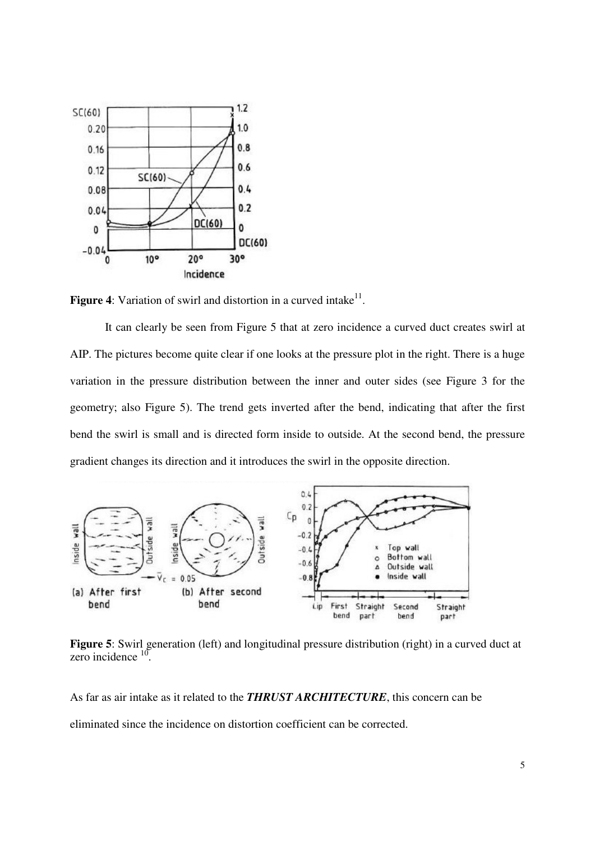

**Figure 4:** Variation of swirl and distortion in a curved intake $11$ .

 It can clearly be seen from Figure 5 that at zero incidence a curved duct creates swirl at AIP. The pictures become quite clear if one looks at the pressure plot in the right. There is a huge variation in the pressure distribution between the inner and outer sides (see Figure 3 for the geometry; also Figure 5). The trend gets inverted after the bend, indicating that after the first bend the swirl is small and is directed form inside to outside. At the second bend, the pressure gradient changes its direction and it introduces the swirl in the opposite direction.



**Figure 5**: Swirl generation (left) and longitudinal pressure distribution (right) in a curved duct at zero incidence  $10$ .

As far as air intake as it related to the *THRUST ARCHITECTURE*, this concern can be

eliminated since the incidence on distortion coefficient can be corrected.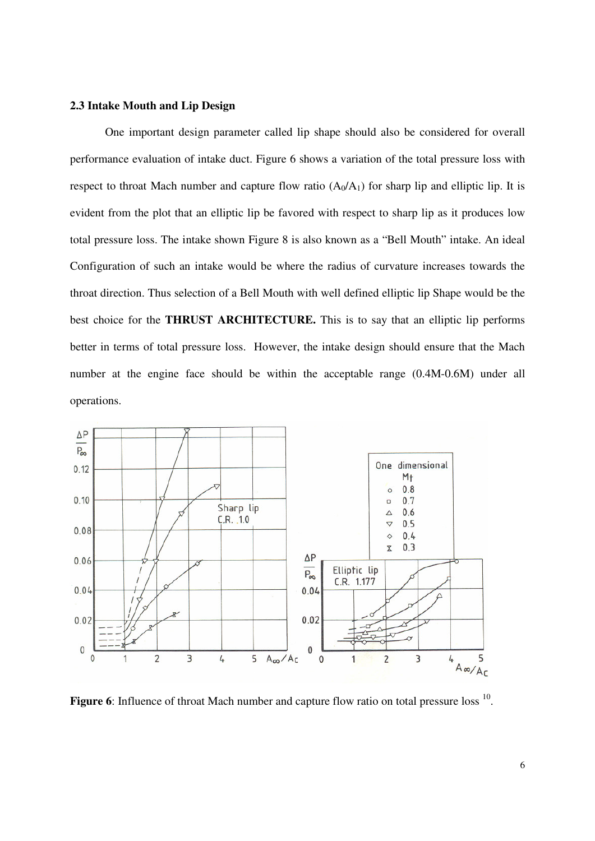# **2.3 Intake Mouth and Lip Design**

 One important design parameter called lip shape should also be considered for overall performance evaluation of intake duct. Figure 6 shows a variation of the total pressure loss with respect to throat Mach number and capture flow ratio  $(A_0/A_1)$  for sharp lip and elliptic lip. It is evident from the plot that an elliptic lip be favored with respect to sharp lip as it produces low total pressure loss. The intake shown Figure 8 is also known as a "Bell Mouth" intake. An ideal Configuration of such an intake would be where the radius of curvature increases towards the throat direction. Thus selection of a Bell Mouth with well defined elliptic lip Shape would be the best choice for the **THRUST ARCHITECTURE.** This is to say that an elliptic lip performs better in terms of total pressure loss. However, the intake design should ensure that the Mach number at the engine face should be within the acceptable range (0.4M-0.6M) under all operations.



Figure 6: Influence of throat Mach number and capture flow ratio on total pressure loss <sup>10</sup>.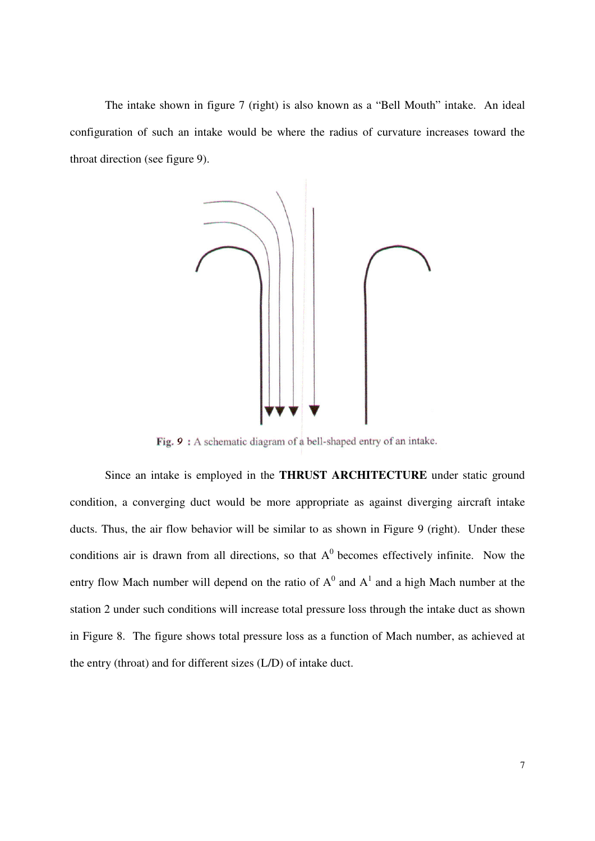The intake shown in figure 7 (right) is also known as a "Bell Mouth" intake. An ideal configuration of such an intake would be where the radius of curvature increases toward the throat direction (see figure 9).



Fig. 9: A schematic diagram of a bell-shaped entry of an intake.

 Since an intake is employed in the **THRUST ARCHITECTURE** under static ground condition, a converging duct would be more appropriate as against diverging aircraft intake ducts. Thus, the air flow behavior will be similar to as shown in Figure 9 (right). Under these conditions air is drawn from all directions, so that  $A^0$  becomes effectively infinite. Now the entry flow Mach number will depend on the ratio of  $A^0$  and  $A^1$  and a high Mach number at the station 2 under such conditions will increase total pressure loss through the intake duct as shown in Figure 8. The figure shows total pressure loss as a function of Mach number, as achieved at the entry (throat) and for different sizes (L/D) of intake duct.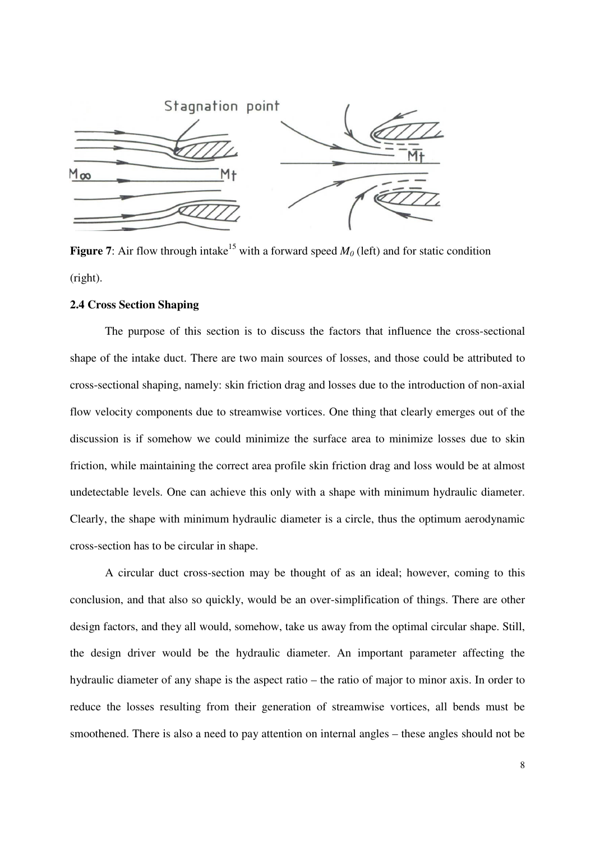

**Figure 7**: Air flow through intake<sup>15</sup> with a forward speed  $M_0$  (left) and for static condition (right).

## **2.4 Cross Section Shaping**

 The purpose of this section is to discuss the factors that influence the cross-sectional shape of the intake duct. There are two main sources of losses, and those could be attributed to cross-sectional shaping, namely: skin friction drag and losses due to the introduction of non-axial flow velocity components due to streamwise vortices. One thing that clearly emerges out of the discussion is if somehow we could minimize the surface area to minimize losses due to skin friction, while maintaining the correct area profile skin friction drag and loss would be at almost undetectable levels. One can achieve this only with a shape with minimum hydraulic diameter. Clearly, the shape with minimum hydraulic diameter is a circle, thus the optimum aerodynamic cross-section has to be circular in shape.

 A circular duct cross-section may be thought of as an ideal; however, coming to this conclusion, and that also so quickly, would be an over-simplification of things. There are other design factors, and they all would, somehow, take us away from the optimal circular shape. Still, the design driver would be the hydraulic diameter. An important parameter affecting the hydraulic diameter of any shape is the aspect ratio – the ratio of major to minor axis. In order to reduce the losses resulting from their generation of streamwise vortices, all bends must be smoothened. There is also a need to pay attention on internal angles – these angles should not be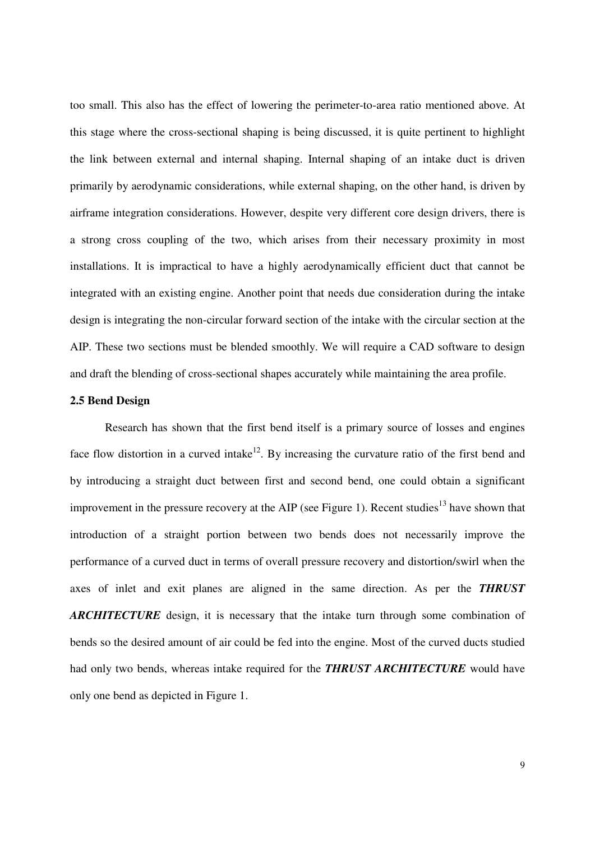too small. This also has the effect of lowering the perimeter-to-area ratio mentioned above. At this stage where the cross-sectional shaping is being discussed, it is quite pertinent to highlight the link between external and internal shaping. Internal shaping of an intake duct is driven primarily by aerodynamic considerations, while external shaping, on the other hand, is driven by airframe integration considerations. However, despite very different core design drivers, there is a strong cross coupling of the two, which arises from their necessary proximity in most installations. It is impractical to have a highly aerodynamically efficient duct that cannot be integrated with an existing engine. Another point that needs due consideration during the intake design is integrating the non-circular forward section of the intake with the circular section at the AIP. These two sections must be blended smoothly. We will require a CAD software to design and draft the blending of cross-sectional shapes accurately while maintaining the area profile.

### **2.5 Bend Design**

 Research has shown that the first bend itself is a primary source of losses and engines face flow distortion in a curved intake<sup>12</sup>. By increasing the curvature ratio of the first bend and by introducing a straight duct between first and second bend, one could obtain a significant improvement in the pressure recovery at the AIP (see Figure 1). Recent studies<sup>13</sup> have shown that introduction of a straight portion between two bends does not necessarily improve the performance of a curved duct in terms of overall pressure recovery and distortion/swirl when the axes of inlet and exit planes are aligned in the same direction. As per the *THRUST ARCHITECTURE* design, it is necessary that the intake turn through some combination of bends so the desired amount of air could be fed into the engine. Most of the curved ducts studied had only two bends, whereas intake required for the *THRUST ARCHITECTURE* would have only one bend as depicted in Figure 1.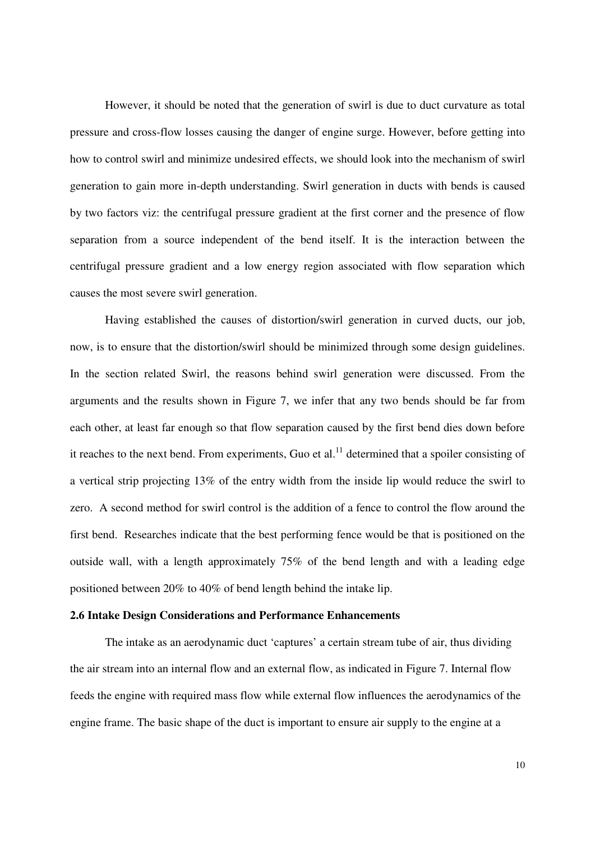However, it should be noted that the generation of swirl is due to duct curvature as total pressure and cross-flow losses causing the danger of engine surge. However, before getting into how to control swirl and minimize undesired effects, we should look into the mechanism of swirl generation to gain more in-depth understanding. Swirl generation in ducts with bends is caused by two factors viz: the centrifugal pressure gradient at the first corner and the presence of flow separation from a source independent of the bend itself. It is the interaction between the centrifugal pressure gradient and a low energy region associated with flow separation which causes the most severe swirl generation.

 Having established the causes of distortion/swirl generation in curved ducts, our job, now, is to ensure that the distortion/swirl should be minimized through some design guidelines. In the section related Swirl, the reasons behind swirl generation were discussed. From the arguments and the results shown in Figure 7, we infer that any two bends should be far from each other, at least far enough so that flow separation caused by the first bend dies down before it reaches to the next bend. From experiments, Guo et al.<sup>11</sup> determined that a spoiler consisting of a vertical strip projecting 13% of the entry width from the inside lip would reduce the swirl to zero. A second method for swirl control is the addition of a fence to control the flow around the first bend. Researches indicate that the best performing fence would be that is positioned on the outside wall, with a length approximately 75% of the bend length and with a leading edge positioned between 20% to 40% of bend length behind the intake lip.

### **2.6 Intake Design Considerations and Performance Enhancements**

The intake as an aerodynamic duct 'captures' a certain stream tube of air, thus dividing the air stream into an internal flow and an external flow, as indicated in Figure 7. Internal flow feeds the engine with required mass flow while external flow influences the aerodynamics of the engine frame. The basic shape of the duct is important to ensure air supply to the engine at a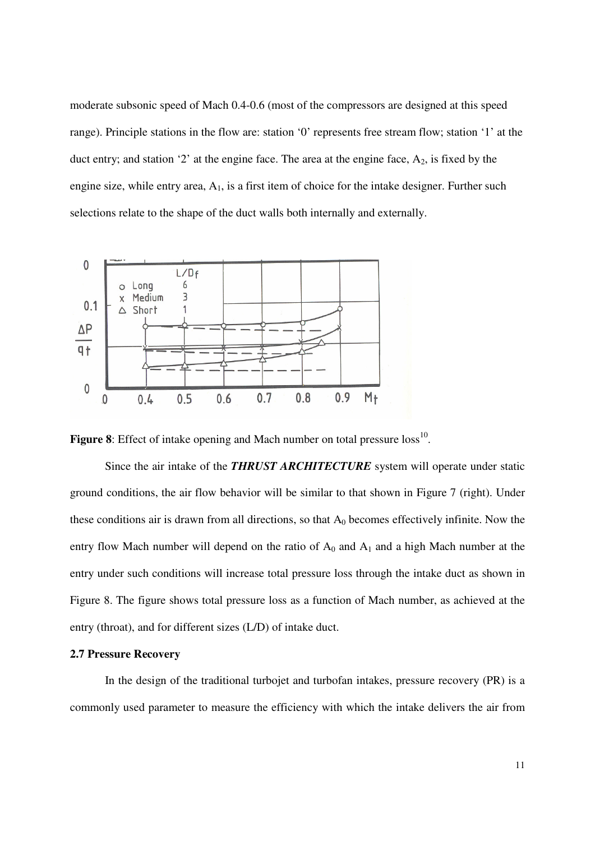moderate subsonic speed of Mach 0.4-0.6 (most of the compressors are designed at this speed range). Principle stations in the flow are: station '0' represents free stream flow; station '1' at the duct entry; and station '2' at the engine face. The area at the engine face,  $A_2$ , is fixed by the engine size, while entry area,  $A_1$ , is a first item of choice for the intake designer. Further such selections relate to the shape of the duct walls both internally and externally.



**Figure 8**: Effect of intake opening and Mach number on total pressure  $loss^{10}$ .

 Since the air intake of the *THRUST ARCHITECTURE* system will operate under static ground conditions, the air flow behavior will be similar to that shown in Figure 7 (right). Under these conditions air is drawn from all directions, so that  $A_0$  becomes effectively infinite. Now the entry flow Mach number will depend on the ratio of  $A_0$  and  $A_1$  and a high Mach number at the entry under such conditions will increase total pressure loss through the intake duct as shown in Figure 8. The figure shows total pressure loss as a function of Mach number, as achieved at the entry (throat), and for different sizes (L/D) of intake duct.

### **2.7 Pressure Recovery**

 In the design of the traditional turbojet and turbofan intakes, pressure recovery (PR) is a commonly used parameter to measure the efficiency with which the intake delivers the air from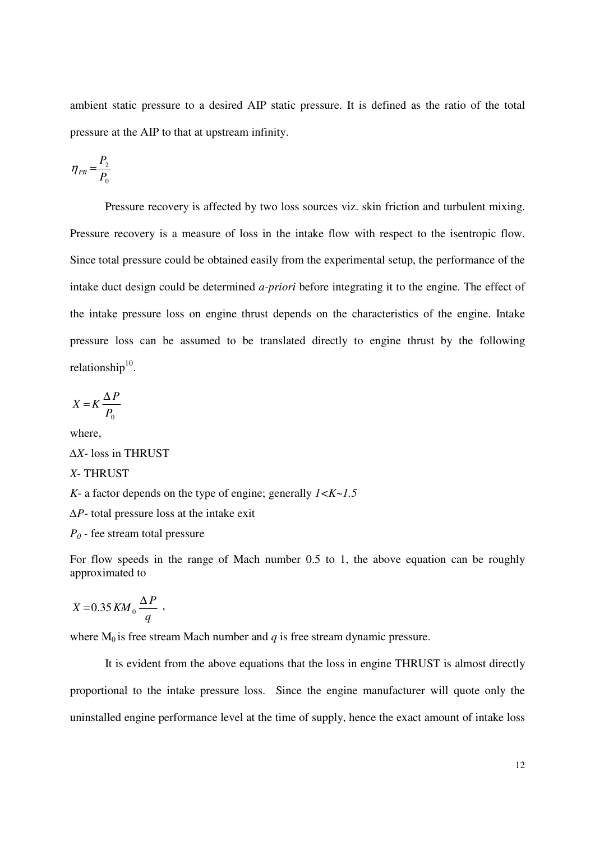ambient static pressure to a desired AIP static pressure. It is defined as the ratio of the total pressure at the AIP to that at upstream infinity.

$$
\eta_{PR} = \frac{P_2}{P_0}
$$

 Pressure recovery is affected by two loss sources viz. skin friction and turbulent mixing. Pressure recovery is a measure of loss in the intake flow with respect to the isentropic flow. Since total pressure could be obtained easily from the experimental setup, the performance of the intake duct design could be determined *a-priori* before integrating it to the engine. The effect of the intake pressure loss on engine thrust depends on the characteristics of the engine. Intake pressure loss can be assumed to be translated directly to engine thrust by the following relationship<sup>10</sup>.

$$
X = K \frac{\Delta P}{P_0}
$$

where,

∆*X*- loss in THRUST *X*- THRUST *K*- a factor depends on the type of engine; generally *1<K~1.5* ∆*P*- total pressure loss at the intake exit *P0 -* fee stream total pressure

For flow speeds in the range of Mach number 0.5 to 1, the above equation can be roughly approximated to

$$
X = 0.35 K M_0 \frac{\Delta P}{q} ,
$$

where  $M_0$  is free stream Mach number and  $q$  is free stream dynamic pressure.

 It is evident from the above equations that the loss in engine THRUST is almost directly proportional to the intake pressure loss. Since the engine manufacturer will quote only the uninstalled engine performance level at the time of supply, hence the exact amount of intake loss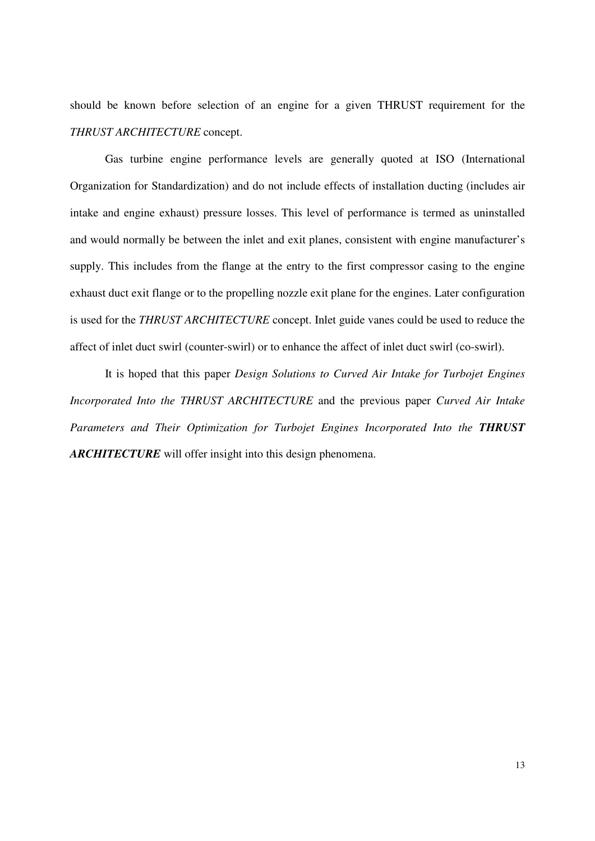should be known before selection of an engine for a given THRUST requirement for the *THRUST ARCHITECTURE* concept.

 Gas turbine engine performance levels are generally quoted at ISO (International Organization for Standardization) and do not include effects of installation ducting (includes air intake and engine exhaust) pressure losses. This level of performance is termed as uninstalled and would normally be between the inlet and exit planes, consistent with engine manufacturer's supply. This includes from the flange at the entry to the first compressor casing to the engine exhaust duct exit flange or to the propelling nozzle exit plane for the engines. Later configuration is used for the *THRUST ARCHITECTURE* concept. Inlet guide vanes could be used to reduce the affect of inlet duct swirl (counter-swirl) or to enhance the affect of inlet duct swirl (co-swirl).

 It is hoped that this paper *Design Solutions to Curved Air Intake for Turbojet Engines Incorporated Into the THRUST ARCHITECTURE* and the previous paper *Curved Air Intake Parameters and Their Optimization for Turbojet Engines Incorporated Into the THRUST ARCHITECTURE* will offer insight into this design phenomena.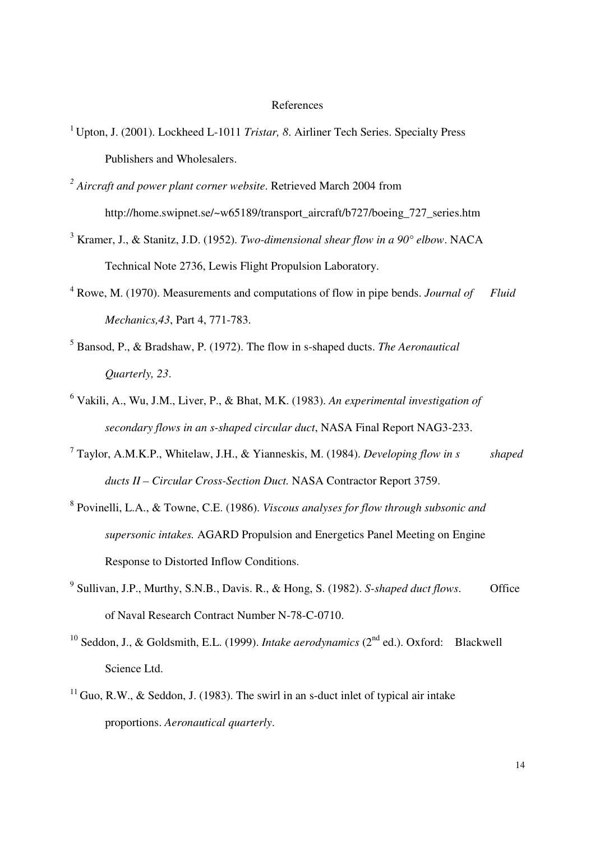#### References

- <sup>1</sup> Upton, J. (2001). Lockheed L-1011 *Tristar*, 8. Airliner Tech Series. Specialty Press Publishers and Wholesalers.
- *2 Aircraft and power plant corner website*. Retrieved March 2004 from http://home.swipnet.se/~w65189/transport\_aircraft/b727/boeing\_727\_series.htm
- 3 Kramer, J., & Stanitz, J.D. (1952). *Two-dimensional shear flow in a 90° elbow*. NACA Technical Note 2736, Lewis Flight Propulsion Laboratory.
- <sup>4</sup> Rowe, M. (1970). Measurements and computations of flow in pipe bends. *Journal of Fluid Mechanics,43*, Part 4, 771-783.
- 5 Bansod, P., & Bradshaw, P. (1972). The flow in s-shaped ducts. *The Aeronautical Quarterly, 23*.
- 6 Vakili, A., Wu, J.M., Liver, P., & Bhat, M.K. (1983). *An experimental investigation of secondary flows in an s-shaped circular duct*, NASA Final Report NAG3-233.
- 7 Taylor, A.M.K.P., Whitelaw, J.H., & Yianneskis, M. (1984). *Developing flow in s shaped ducts II – Circular Cross-Section Duct.* NASA Contractor Report 3759.
- 8 Povinelli, L.A., & Towne, C.E. (1986). *Viscous analyses for flow through subsonic and supersonic intakes.* AGARD Propulsion and Energetics Panel Meeting on Engine Response to Distorted Inflow Conditions.
- <sup>9</sup> Sullivan, J.P., Murthy, S.N.B., Davis. R., & Hong, S. (1982). *S-shaped duct flows*. Office of Naval Research Contract Number N-78-C-0710.
- <sup>10</sup> Seddon, J., & Goldsmith, E.L. (1999). *Intake aerodynamics* (2<sup>nd</sup> ed.). Oxford: Blackwell Science Ltd.
- $11$  Guo, R.W., & Seddon, J. (1983). The swirl in an s-duct inlet of typical air intake proportions. *Aeronautical quarterly*.